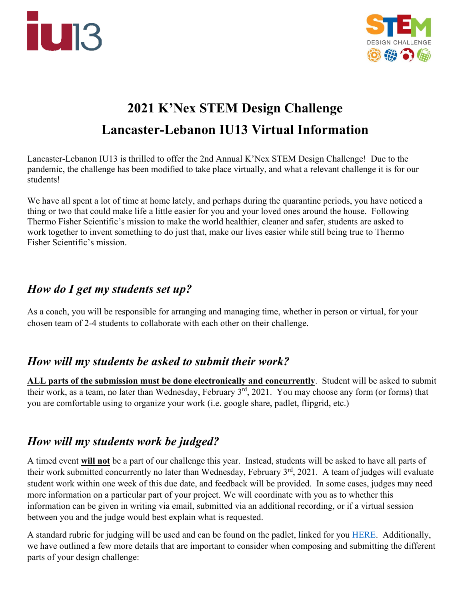



# **2021 K'Nex STEM Design Challenge Lancaster-Lebanon IU13 Virtual Information**

Lancaster-Lebanon IU13 is thrilled to offer the 2nd Annual K'Nex STEM Design Challenge! Due to the pandemic, the challenge has been modified to take place virtually, and what a relevant challenge it is for our students!

We have all spent a lot of time at home lately, and perhaps during the quarantine periods, you have noticed a thing or two that could make life a little easier for you and your loved ones around the house. Following Thermo Fisher Scientific's mission to make the world healthier, cleaner and safer, students are asked to work together to invent something to do just that, make our lives easier while still being true to Thermo Fisher Scientific's mission.

#### 

# *How do I get my students set up?*

As a coach, you will be responsible for arranging and managing time, whether in person or virtual, for your chosen team of 2-4 students to collaborate with each other on their challenge.

## *How will my students be asked to submit their work?*

**ALL parts of the submission must be done electronically and concurrently**. Student will be asked to submit their work, as a team, no later than Wednesday, February 3<sup>rd</sup>, 2021. You may choose any form (or forms) that you are comfortable using to organize your work (i.e. google share, padlet, flipgrid, etc.)

## *How will my students work be judged?*

A timed event **will not** be a part of our challenge this year.Instead, students will be asked to have all parts of their work submitted concurrently no later than Wednesday, February 3<sup>rd</sup>, 2021. A team of judges will evaluate student work within one week of this due date, and feedback will be provided. In some cases, judges may need more information on a particular part of your project. We will coordinate with you as to whether this information can be given in writing via email, submitted via an additional recording, or if a virtual session between you and the judge would best explain what is requested.

A standard rubric for judging will be used and can be found on the padlet, linked for you [HERE.](https://padlet.com/amydavis7/stemdesignchallenge) Additionally, we have outlined a few more details that are important to consider when composing and submitting the different parts of your design challenge: